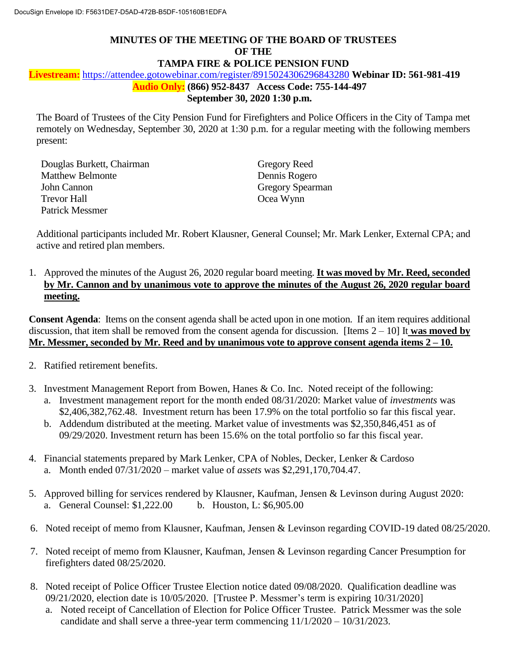## **MINUTES OF THE MEETING OF THE BOARD OF TRUSTEES OF THE TAMPA FIRE & POLICE PENSION FUND**

 **Audio Only: (866) 952-8437 Access Code: 755-144-497 Livestream:** https://attendee.gotowebinar.com/register/8915024306296843280 **Webinar ID: 561-981-419 September 30, 2020 1:30 p.m.** 

 The Board of Trustees of the City Pension Fund for Firefighters and Police Officers in the City of Tampa met remotely on Wednesday, September 30, 2020 at 1:30 p.m. for a regular meeting with the following members present:

| Douglas Burkett, Chairman | <b>Gregory Reed</b>     |
|---------------------------|-------------------------|
| <b>Matthew Belmonte</b>   | Dennis Rogero           |
| John Cannon               | <b>Gregory Spearman</b> |
| Trevor Hall               | Ocea Wynn               |
| Patrick Messmer           |                         |

 Additional participants included Mr. Robert Klausner, General Counsel; Mr. Mark Lenker, External CPA; and active and retired plan members.

 1. Approved the minutes of the August 26, 2020 regular board meeting. **It was moved by Mr. Reed, seconded by Mr. Cannon and by unanimous vote to approve the minutes of the August 26, 2020 regular board**  meeting.

 **meeting. Consent Agenda**: Items on the consent agenda shall be acted upon in one motion. If an item requires additional discussion, that item shall be removed from the consent agenda for discussion. [Items 2 – 10] It **was moved by Mr. Messmer, seconded by Mr. Reed and by unanimous vote to approve consent agenda items 2 – 10.** 

- 2. Ratified retirement benefits.
- 3. Investment Management Report from Bowen, Hanes & Co. Inc. Noted receipt of the following: a. Investment management report for the month ended 08/31/2020: Market value of *investments* was
	- \$2,406,382,762.48. Investment return has been 17.9% on the total portfolio so far this fiscal year. b. Addendum distributed at the meeting. Market value of investments was \$2,350,846,451 as of 09/29/2020. Investment return has been 15.6% on the total portfolio so far this fiscal year.
- 4. Financial statements prepared by Mark Lenker, CPA of Nobles, Decker, Lenker & Cardoso a. Month ended 07/31/2020 – market value of *assets* was \$2,291,170,704.47.
- 5. Approved billing for services rendered by Klausner, Kaufman, Jensen & Levinson during August 2020: a. General Counsel: \$1,222.00 b. Houston, L: \$6,905.00
- 6. Noted receipt of memo from Klausner, Kaufman, Jensen & Levinson regarding COVID-19 dated 08/25/2020.
- 7. Noted receipt of memo from Klausner, Kaufman, Jensen & Levinson regarding Cancer Presumption for firefighters dated 08/25/2020.
- 8. Noted receipt of Police Officer Trustee Election notice dated 09/08/2020. Qualification deadline was 09/21/2020, election date is 10/05/2020. [Trustee P. Messmer's term is expiring 10/31/2020]
	- a. Noted receipt of Cancellation of Election for Police Officer Trustee. Patrick Messmer was the sole candidate and shall serve a three-year term commencing 11/1/2020 – 10/31/2023.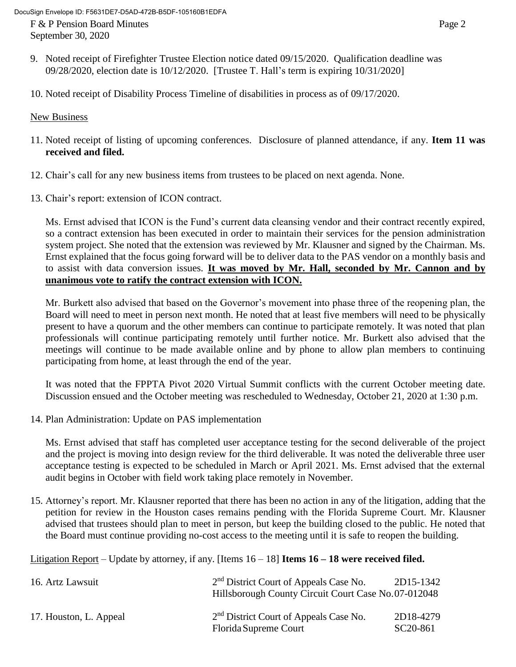F & P Pension Board Minutes Page 2 September 30, 2020

- 9. Noted receipt of Firefighter Trustee Election notice dated 09/15/2020. Qualification deadline was 09/28/2020, election date is 10/12/2020. [Trustee T. Hall's term is expiring 10/31/2020]
- 10. Noted receipt of Disability Process Timeline of disabilities in process as of 09/17/2020.

## New Business

- 11. Noted receipt of listing of upcoming conferences. Disclosure of planned attendance, if any. **Item 11 was received and filed.**
- 12. Chair's call for any new business items from trustees to be placed on next agenda. None.
- 13. Chair's report: extension of ICON contract.

 Ms. Ernst advised that ICON is the Fund's current data cleansing vendor and their contract recently expired, so a contract extension has been executed in order to maintain their services for the pension administration system project. She noted that the extension was reviewed by Mr. Klausner and signed by the Chairman. Ms. Ernst explained that the focus going forward will be to deliver data to the PAS vendor on a monthly basis and  to assist with data conversion issues. **It was moved by Mr. Hall, seconded by Mr. Cannon and by unanimous vote to ratify the contract extension with ICON.** 

 Mr. Burkett also advised that based on the Governor's movement into phase three of the reopening plan, the present to have a quorum and the other members can continue to participate remotely. It was noted that plan professionals will continue participating remotely until further notice. Mr. Burkett also advised that the meetings will continue to be made available online and by phone to allow plan members to continuing Board will need to meet in person next month. He noted that at least five members will need to be physically participating from home, at least through the end of the year.

 It was noted that the FPPTA Pivot 2020 Virtual Summit conflicts with the current October meeting date. Discussion ensued and the October meeting was rescheduled to Wednesday, October 21, 2020 at 1:30 p.m.

14. Plan Administration: Update on PAS implementation

 Ms. Ernst advised that staff has completed user acceptance testing for the second deliverable of the project and the project is moving into design review for the third deliverable. It was noted the deliverable three user acceptance testing is expected to be scheduled in March or April 2021. Ms. Ernst advised that the external audit begins in October with field work taking place remotely in November.

 petition for review in the Houston cases remains pending with the Florida Supreme Court. Mr. Klausner advised that trustees should plan to meet in person, but keep the building closed to the public. He noted that 15. Attorney's report. Mr. Klausner reported that there has been no action in any of the litigation, adding that the the Board must continue providing no-cost access to the meeting until it is safe to reopen the building.

Litigation Report – Update by attorney, if any. [Items 16 – 18] **Items 16 – 18 were received filed.** 

| 16. Artz Lawsuit       | 2 <sup>nd</sup> District Court of Appeals Case No.<br>Hillsborough County Circuit Court Case No.07-012048 | 2D15-1342                          |
|------------------------|-----------------------------------------------------------------------------------------------------------|------------------------------------|
| 17. Houston, L. Appeal | 2 <sup>nd</sup> District Court of Appeals Case No.<br>Florida Supreme Court                               | 2D18-4279<br>SC <sub>20</sub> -861 |